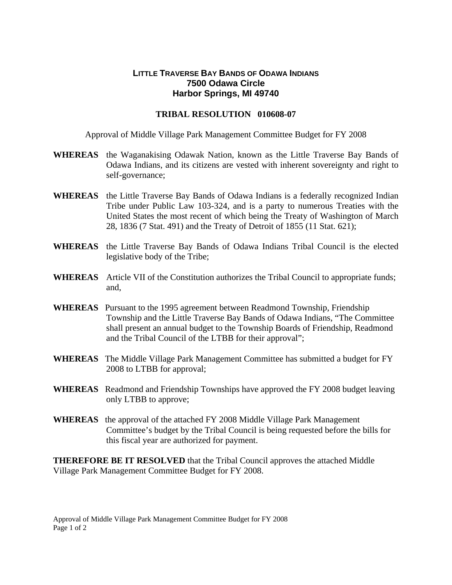## **LITTLE TRAVERSE BAY BANDS OF ODAWA INDIANS 7500 Odawa Circle Harbor Springs, MI 49740**

## **TRIBAL RESOLUTION 010608-07**

Approval of Middle Village Park Management Committee Budget for FY 2008

- **WHEREAS** the Waganakising Odawak Nation, known as the Little Traverse Bay Bands of Odawa Indians, and its citizens are vested with inherent sovereignty and right to self-governance;
- **WHEREAS** the Little Traverse Bay Bands of Odawa Indians is a federally recognized Indian Tribe under Public Law 103-324, and is a party to numerous Treaties with the United States the most recent of which being the Treaty of Washington of March 28, 1836 (7 Stat. 491) and the Treaty of Detroit of 1855 (11 Stat. 621);
- **WHEREAS** the Little Traverse Bay Bands of Odawa Indians Tribal Council is the elected legislative body of the Tribe;
- **WHEREAS** Article VII of the Constitution authorizes the Tribal Council to appropriate funds; and,
- **WHEREAS** Pursuant to the 1995 agreement between Readmond Township, Friendship Township and the Little Traverse Bay Bands of Odawa Indians, "The Committee shall present an annual budget to the Township Boards of Friendship, Readmond and the Tribal Council of the LTBB for their approval";
- **WHEREAS** The Middle Village Park Management Committee has submitted a budget for FY 2008 to LTBB for approval;
- **WHEREAS** Readmond and Friendship Townships have approved the FY 2008 budget leaving only LTBB to approve;
- **WHEREAS** the approval of the attached FY 2008 Middle Village Park Management Committee's budget by the Tribal Council is being requested before the bills for this fiscal year are authorized for payment.

**THEREFORE BE IT RESOLVED** that the Tribal Council approves the attached Middle Village Park Management Committee Budget for FY 2008.